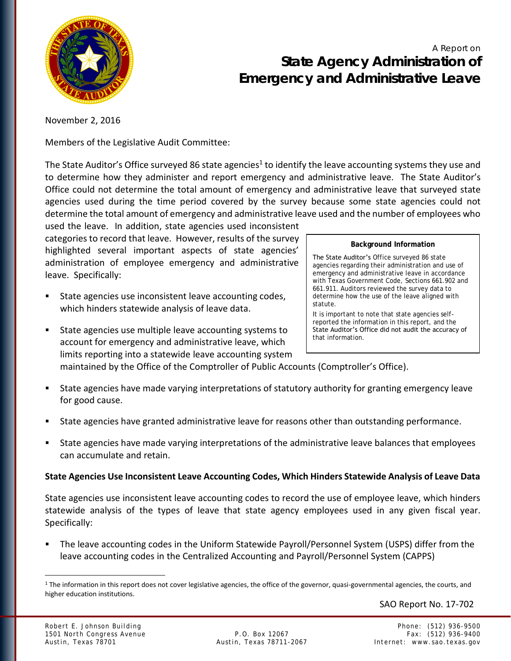

# A Report on **State Agency Administration of Emergency and Administrative Leave**

November 2, 2016

Members of the Legislative Audit Committee:

The State Auditor's Office surveyed 86 state agencies<sup>1</sup> to identify the leave accounting systems they use and to determine how they administer and report emergency and administrative leave. The State Auditor's Office could not determine the total amount of emergency and administrative leave that surveyed state agencies used during the time period covered by the survey because some state agencies could not determine the total amount of emergency and administrative leave used and the number of employees who used the leave. In addition, state agencies used inconsistent

categories to record that leave. However, results of the survey highlighted several important aspects of state agencies' administration of employee emergency and administrative leave. Specifically:

- State agencies use inconsistent leave accounting codes, which hinders statewide analysis of leave data.
- State agencies use multiple leave accounting systems to account for emergency and administrative leave, which limits reporting into a statewide leave accounting system

#### **Background Information**

The State Auditor's Office surveyed 86 state agencies regarding their administration and use of emergency and administrative leave in accordance with Texas Government Code, Sections 661.902 and 661.911. Auditors reviewed the survey data to determine how the use of the leave aligned with statute.

It is important to note that state agencies selfreported the information in this report, and the State Auditor's Office did not audit the accuracy of that information.

maintained by the Office of the Comptroller of Public Accounts (Comptroller's Office).

- State agencies have made varying interpretations of statutory authority for granting emergency leave for good cause.
- State agencies have granted administrative leave for reasons other than outstanding performance.
- State agencies have made varying interpretations of the administrative leave balances that employees can accumulate and retain.

# **State Agencies Use Inconsistent Leave Accounting Codes, Which Hinders Statewide Analysis of Leave Data**

State agencies use inconsistent leave accounting codes to record the use of employee leave, which hinders statewide analysis of the types of leave that state agency employees used in any given fiscal year. Specifically:

 The leave accounting codes in the Uniform Statewide Payroll/Personnel System (USPS) differ from the leave accounting codes in the Centralized Accounting and Payroll/Personnel System (CAPPS)

SAO Report No. 17-702

 $\overline{a}$ 

<sup>1</sup> The information in this report does not cover legislative agencies, the office of the governor, quasi-governmental agencies, the courts, and higher education institutions.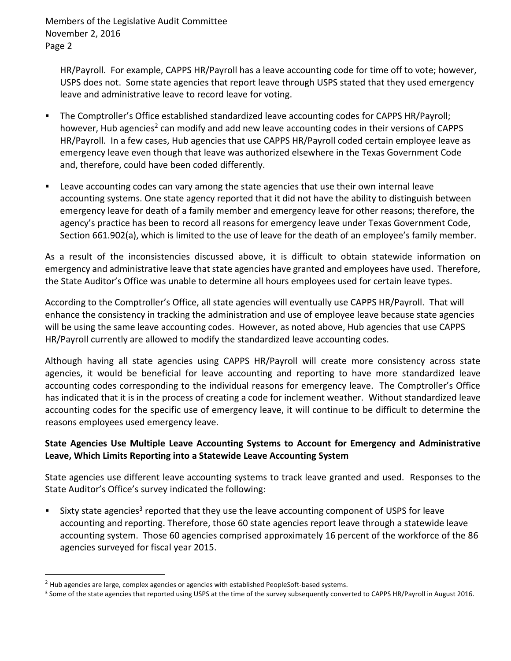HR/Payroll. For example, CAPPS HR/Payroll has a leave accounting code for time off to vote; however, USPS does not. Some state agencies that report leave through USPS stated that they used emergency leave and administrative leave to record leave for voting.

- The Comptroller's Office established standardized leave accounting codes for CAPPS HR/Payroll; however, Hub agencies<sup>2</sup> can modify and add new leave accounting codes in their versions of CAPPS HR/Payroll. In a few cases, Hub agencies that use CAPPS HR/Payroll coded certain employee leave as emergency leave even though that leave was authorized elsewhere in the Texas Government Code and, therefore, could have been coded differently.
- Leave accounting codes can vary among the state agencies that use their own internal leave accounting systems. One state agency reported that it did not have the ability to distinguish between emergency leave for death of a family member and emergency leave for other reasons; therefore, the agency's practice has been to record all reasons for emergency leave under Texas Government Code, Section 661.902(a), which is limited to the use of leave for the death of an employee's family member.

As a result of the inconsistencies discussed above, it is difficult to obtain statewide information on emergency and administrative leave that state agencies have granted and employees have used. Therefore, the State Auditor's Office was unable to determine all hours employees used for certain leave types.

According to the Comptroller's Office, all state agencies will eventually use CAPPS HR/Payroll. That will enhance the consistency in tracking the administration and use of employee leave because state agencies will be using the same leave accounting codes. However, as noted above, Hub agencies that use CAPPS HR/Payroll currently are allowed to modify the standardized leave accounting codes.

Although having all state agencies using CAPPS HR/Payroll will create more consistency across state agencies, it would be beneficial for leave accounting and reporting to have more standardized leave accounting codes corresponding to the individual reasons for emergency leave. The Comptroller's Office has indicated that it is in the process of creating a code for inclement weather. Without standardized leave accounting codes for the specific use of emergency leave, it will continue to be difficult to determine the reasons employees used emergency leave.

# **State Agencies Use Multiple Leave Accounting Systems to Account for Emergency and Administrative Leave, Which Limits Reporting into a Statewide Leave Accounting System**

State agencies use different leave accounting systems to track leave granted and used. Responses to the State Auditor's Office's survey indicated the following:

 $\blacksquare$  Sixty state agencies<sup>3</sup> reported that they use the leave accounting component of USPS for leave accounting and reporting. Therefore, those 60 state agencies report leave through a statewide leave accounting system. Those 60 agencies comprised approximately 16 percent of the workforce of the 86 agencies surveyed for fiscal year 2015.

 $\overline{a}$ 

<sup>&</sup>lt;sup>2</sup> Hub agencies are large, complex agencies or agencies with established PeopleSoft-based systems.

<sup>&</sup>lt;sup>3</sup> Some of the state agencies that reported using USPS at the time of the survey subsequently converted to CAPPS HR/Payroll in August 2016.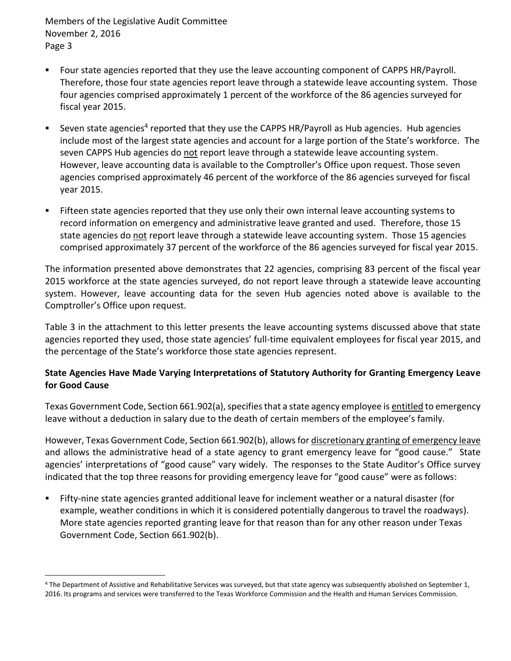$\overline{a}$ 

- Four state agencies reported that they use the leave accounting component of CAPPS HR/Payroll. Therefore, those four state agencies report leave through a statewide leave accounting system. Those four agencies comprised approximately 1 percent of the workforce of the 86 agencies surveyed for fiscal year 2015.
- **Seven state agencies<sup>4</sup> reported that they use the CAPPS HR/Payroll as Hub agencies. Hub agencies** include most of the largest state agencies and account for a large portion of the State's workforce. The seven CAPPS Hub agencies do not report leave through a statewide leave accounting system. However, leave accounting data is available to the Comptroller's Office upon request. Those seven agencies comprised approximately 46 percent of the workforce of the 86 agencies surveyed for fiscal year 2015.
- Fifteen state agencies reported that they use only their own internal leave accounting systems to record information on emergency and administrative leave granted and used. Therefore, those 15 state agencies do not report leave through a statewide leave accounting system. Those 15 agencies comprised approximately 37 percent of the workforce of the 86 agencies surveyed for fiscal year 2015.

The information presented above demonstrates that 22 agencies, comprising 83 percent of the fiscal year 2015 workforce at the state agencies surveyed, do not report leave through a statewide leave accounting system. However, leave accounting data for the seven Hub agencies noted above is available to the Comptroller's Office upon request.

Table 3 in the attachment to this letter presents the leave accounting systems discussed above that state agencies reported they used, those state agencies' full-time equivalent employees for fiscal year 2015, and the percentage of the State's workforce those state agencies represent.

# **State Agencies Have Made Varying Interpretations of Statutory Authority for Granting Emergency Leave for Good Cause**

Texas Government Code, Section 661.902(a), specifies that a state agency employee is entitled to emergency leave without a deduction in salary due to the death of certain members of the employee's family.

However, Texas Government Code, Section 661.902(b), allows for discretionary granting of emergency leave and allows the administrative head of a state agency to grant emergency leave for "good cause." State agencies' interpretations of "good cause" vary widely. The responses to the State Auditor's Office survey indicated that the top three reasons for providing emergency leave for "good cause" were as follows:

 Fifty-nine state agencies granted additional leave for inclement weather or a natural disaster (for example, weather conditions in which it is considered potentially dangerous to travel the roadways). More state agencies reported granting leave for that reason than for any other reason under Texas Government Code, Section 661.902(b).

<sup>4</sup> The Department of Assistive and Rehabilitative Services was surveyed, but that state agency was subsequently abolished on September 1, 2016. Its programs and services were transferred to the Texas Workforce Commission and the Health and Human Services Commission.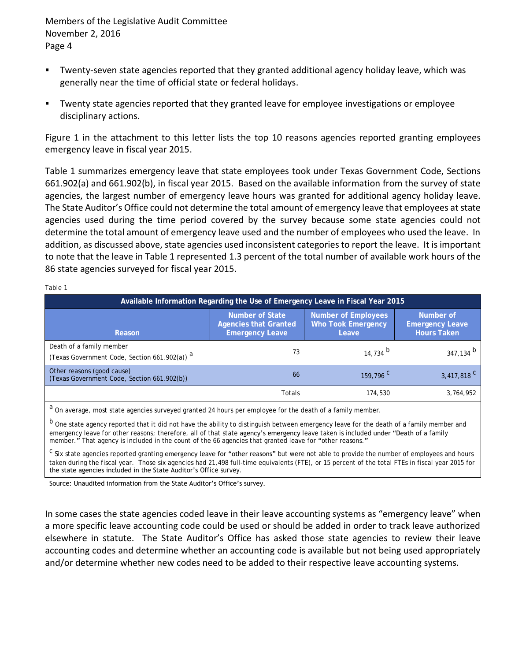Table 1

- Twenty-seven state agencies reported that they granted additional agency holiday leave, which was generally near the time of official state or federal holidays.
- Twenty state agencies reported that they granted leave for employee investigations or employee disciplinary actions.

Figure 1 in the attachment to this letter lists the top 10 reasons agencies reported granting employees emergency leave in fiscal year 2015.

Table 1 summarizes emergency leave that state employees took under Texas Government Code, Sections 661.902(a) and 661.902(b), in fiscal year 2015. Based on the available information from the survey of state agencies, the largest number of emergency leave hours was granted for additional agency holiday leave. The State Auditor's Office could not determine the total amount of emergency leave that employees at state agencies used during the time period covered by the survey because some state agencies could not determine the total amount of emergency leave used and the number of employees who used the leave. In addition, as discussed above, state agencies used inconsistent categories to report the leave. It is important to note that the leave in Table 1 represented 1.3 percent of the total number of available work hours of the 86 state agencies surveyed for fiscal year 2015.

| Available Information Regarding the Use of Emergency Leave in Fiscal Year 2015       |                                                                    |                                                    |                                                    |  |  |  |
|--------------------------------------------------------------------------------------|--------------------------------------------------------------------|----------------------------------------------------|----------------------------------------------------|--|--|--|
| Reason                                                                               | Number of State<br>Agencies that Granted<br><b>Emergency Leave</b> | Number of Employees<br>Who Took Emergency<br>Leave | Number of<br><b>Emergency Leave</b><br>Hours Taken |  |  |  |
| Death of a family member<br>(Texas Government Code, Section 661.902(a)) <sup>a</sup> | 73                                                                 | 14.734 $b$                                         | 347, 134 b                                         |  |  |  |
| Other reasons (good cause)<br>(Texas Government Code, Section 661.902(b))            | 66                                                                 | 159,796 <sup>C</sup>                               | 3,417,818 <sup>C</sup>                             |  |  |  |
|                                                                                      | <b>Totals</b>                                                      | 174.530                                            | 3,764,952                                          |  |  |  |

a On average, most state agencies surveyed granted 24 hours per employee for the death of a family member.

b One state agency reported that it did not have the ability to distinguish between emergency leave for the death of a family member and emergency leave for other reasons; therefore, all of that state agency's emergency leave taken is included under "Death of a family member." That agency is included in the count of the 66 agencies that granted leave for "other reasons."

<sup>c</sup> Six state agencies reported granting emergency leave for "other reasons" but were not able to provide the number of employees and hours taken during the fiscal year. Those six agencies had 21,498 full-time equivalents (FTE), or 15 percent of the total FTEs in fiscal year 2015 for the state agencies included in the State Auditor's Office survey.

Source: Unaudited information from the State Auditor's Office's survey.

In some cases the state agencies coded leave in their leave accounting systems as "emergency leave" when a more specific leave accounting code could be used or should be added in order to track leave authorized elsewhere in statute. The State Auditor's Office has asked those state agencies to review their leave accounting codes and determine whether an accounting code is available but not being used appropriately and/or determine whether new codes need to be added to their respective leave accounting systems.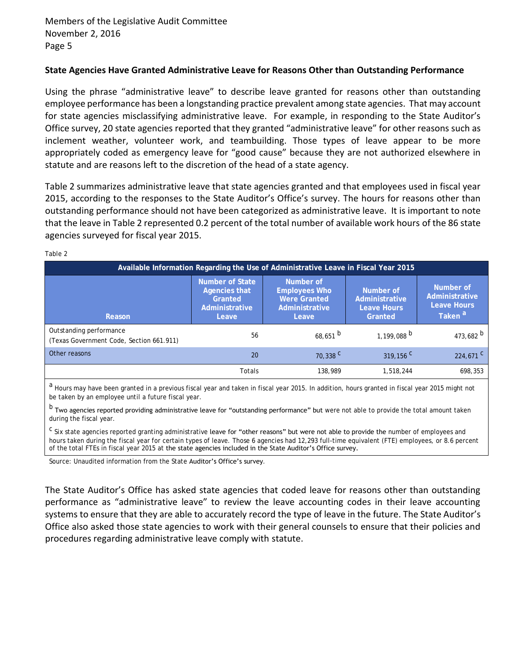# **State Agencies Have Granted Administrative Leave for Reasons Other than Outstanding Performance**

Using the phrase "administrative leave" to describe leave granted for reasons other than outstanding employee performance has been a longstanding practice prevalent among state agencies. That may account for state agencies misclassifying administrative leave. For example, in responding to the State Auditor's Office survey, 20 state agencies reported that they granted "administrative leave" for other reasons such as inclement weather, volunteer work, and teambuilding. Those types of leave appear to be more appropriately coded as emergency leave for "good cause" because they are not authorized elsewhere in statute and are reasons left to the discretion of the head of a state agency.

Table 2 summarizes administrative leave that state agencies granted and that employees used in fiscal year 2015, according to the responses to the State Auditor's Office's survey. The hours for reasons other than outstanding performance should not have been categorized as administrative leave.It is important to note that the leave in Table 2 represented 0.2 percent of the total number of available work hours of the 86 state agencies surveyed for fiscal year 2015.

| Table 2                                                                             |                                                                        |                                                                       |                                                       |                                                                  |  |  |
|-------------------------------------------------------------------------------------|------------------------------------------------------------------------|-----------------------------------------------------------------------|-------------------------------------------------------|------------------------------------------------------------------|--|--|
| Available Information Regarding the Use of Administrative Leave in Fiscal Year 2015 |                                                                        |                                                                       |                                                       |                                                                  |  |  |
| Reason                                                                              | Number of State<br>Agencies that<br>Granted<br>Administrative<br>Leave | Number of<br>Employees Who<br>Were Granted<br>Administrative<br>Leave | Number of<br>Administrative<br>Leave Hours<br>Granted | Number of<br>Administrative<br>Leave Hours<br>Taken <sup>a</sup> |  |  |
| Outstanding performance<br>(Texas Government Code, Section 661.911)                 | 56                                                                     | $68,651$ <sup>b</sup>                                                 | $1,199,088$ <sup>b</sup>                              | 473,682 $^{\circ}$                                               |  |  |
| Other reasons                                                                       | 20                                                                     | 70,338 C                                                              | $319, 156$ <sup>C</sup>                               | $224.671$ <sup>C</sup>                                           |  |  |
|                                                                                     | Totals                                                                 | 138.989                                                               | 1.518.244                                             | 698.353                                                          |  |  |
|                                                                                     |                                                                        |                                                                       |                                                       |                                                                  |  |  |

<sup>a</sup> Hours may have been granted in a previous fiscal year and taken in fiscal year 2015. In addition, hours granted in fiscal year 2015 might not be taken by an employee until a future fiscal year.

b Two agencies reported providing administrative leave for "outstanding performance" but were not able to provide the total amount taken during the fiscal year.

<sup>c</sup> Six state agencies reported granting administrative leave for "other reasons" but were not able to provide the number of employees and hours taken during the fiscal year for certain types of leave. Those 6 agencies had 12,293 full-time equivalent (FTE) employees, or 8.6 percent of the total FTEs in fiscal year 2015 at the state agencies included in the State Auditor's Office survey.

Source: Unaudited information from the State Auditor's Office's survey.

The State Auditor's Office has asked state agencies that coded leave for reasons other than outstanding performance as "administrative leave" to review the leave accounting codes in their leave accounting systems to ensure that they are able to accurately record the type of leave in the future. The State Auditor's Office also asked those state agencies to work with their general counsels to ensure that their policies and procedures regarding administrative leave comply with statute.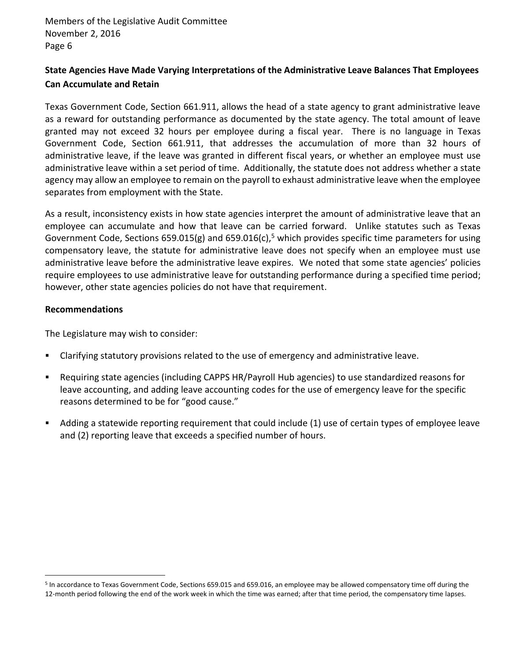# **State Agencies Have Made Varying Interpretations of the Administrative Leave Balances That Employees Can Accumulate and Retain**

Texas Government Code, Section 661.911, allows the head of a state agency to grant administrative leave as a reward for outstanding performance as documented by the state agency. The total amount of leave granted may not exceed 32 hours per employee during a fiscal year. There is no language in Texas Government Code, Section 661.911, that addresses the accumulation of more than 32 hours of administrative leave, if the leave was granted in different fiscal years, or whether an employee must use administrative leave within a set period of time. Additionally, the statute does not address whether a state agency may allow an employee to remain on the payroll to exhaust administrative leave when the employee separates from employment with the State.

As a result, inconsistency exists in how state agencies interpret the amount of administrative leave that an employee can accumulate and how that leave can be carried forward. Unlike statutes such as Texas Government Code, Sections 659.015(g) and 659.016(c),<sup>5</sup> which provides specific time parameters for using compensatory leave, the statute for administrative leave does not specify when an employee must use administrative leave before the administrative leave expires. We noted that some state agencies' policies require employees to use administrative leave for outstanding performance during a specified time period; however, other state agencies policies do not have that requirement.

### **Recommendations**

 $\overline{a}$ 

The Legislature may wish to consider:

- Clarifying statutory provisions related to the use of emergency and administrative leave.
- Requiring state agencies (including CAPPS HR/Payroll Hub agencies) to use standardized reasons for leave accounting, and adding leave accounting codes for the use of emergency leave for the specific reasons determined to be for "good cause."
- Adding a statewide reporting requirement that could include (1) use of certain types of employee leave and (2) reporting leave that exceeds a specified number of hours.

<sup>&</sup>lt;sup>5</sup> In accordance to Texas Government Code, Sections 659.015 and 659.016, an employee may be allowed compensatory time off during the 12-month period following the end of the work week in which the time was earned; after that time period, the compensatory time lapses.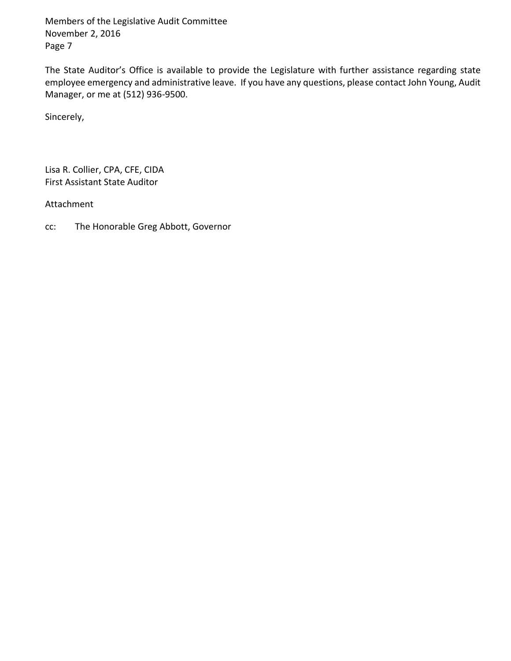The State Auditor's Office is available to provide the Legislature with further assistance regarding state employee emergency and administrative leave. If you have any questions, please contact John Young, Audit Manager, or me at (512) 936-9500.

Sincerely,

Lisa R. Collier, CPA, CFE, CIDA First Assistant State Auditor

Attachment

cc: The Honorable Greg Abbott, Governor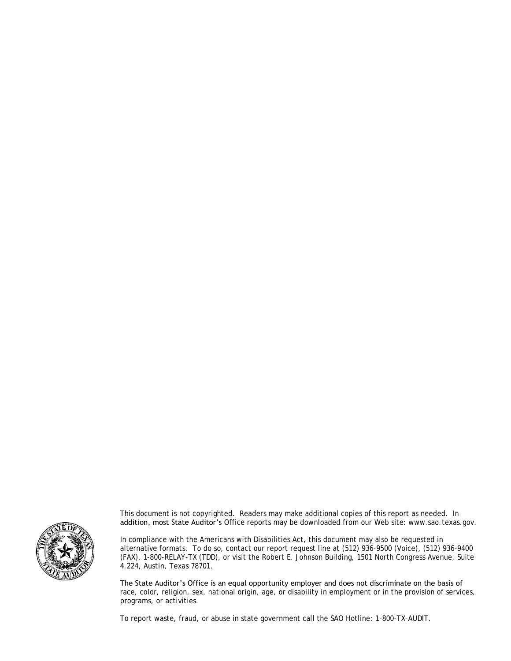

This document is not copyrighted. Readers may make additional copies of this report as needed. In addition, most State Auditor's Office reports may be downloaded from our Web site: www.sao.texas.gov.

In compliance with the Americans with Disabilities Act, this document may also be requested in alternative formats. To do so, contact our report request line at (512) 936-9500 (Voice), (512) 936-9400 (FAX), 1-800-RELAY-TX (TDD), or visit the Robert E. Johnson Building, 1501 North Congress Avenue, Suite 4.224, Austin, Texas 78701.

The State Auditor's Office is an equal opportunity employer and does not discriminate on the basis of race, color, religion, sex, national origin, age, or disability in employment or in the provision of services, programs, or activities.

To report waste, fraud, or abuse in state government call the SAO Hotline: 1-800-TX-AUDIT.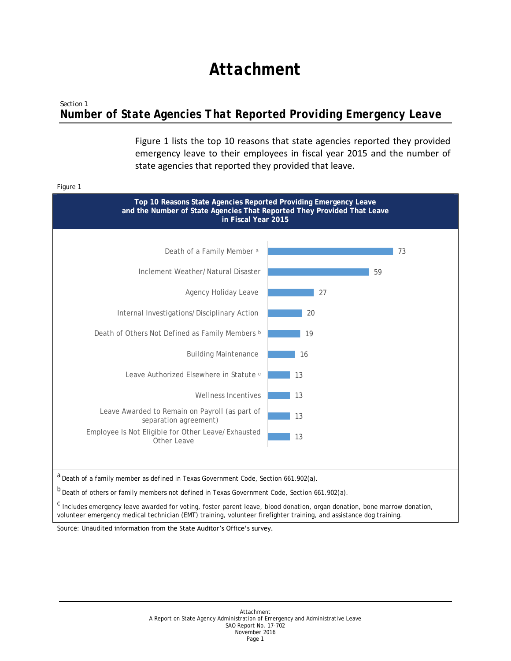# *Attachment*

# *Section 1 Number of State Agencies That Reported Providing Emergency Leave*

Figure 1 lists the top 10 reasons that state agencies reported they provided emergency leave to their employees in fiscal year 2015 and the number of state agencies that reported they provided that leave.

### Figure 1 **Top 10 Reasons State Agencies Reported Providing Emergency Leave and the Number of State Agencies That Reported They Provided That Leave in Fiscal Year 2015** a<br>Death of a family member as defined in Texas Government Code, Section 661.902(a). b<br>Death of others or family members not defined in Texas Government Code, Section 661.902(a). 13 13 13 13  $-16$ 19 20 27 59 73 Employee Is Not Eligible for Other Leave/Exhausted Other Leave Leave Awarded to Remain on Payroll (as part of separation agreement) Wellness Incentives Leave Authorized Elsewhere in Statute  $\circ$ Building Maintenance Death of Others Not Defined as Family Members **b** Internal Investigations/Disciplinary Action Agency Holiday Leave Inclement Weather/Natural Disaster Death of a Family Member<sup>a</sup>

c Includes emergency leave awarded for voting, foster parent leave, blood donation, organ donation, bone marrow donation, volunteer emergency medical technician (EMT) training, volunteer firefighter training, and assistance dog training.

Source: Unaudited information from the State Auditor's Office's survey.